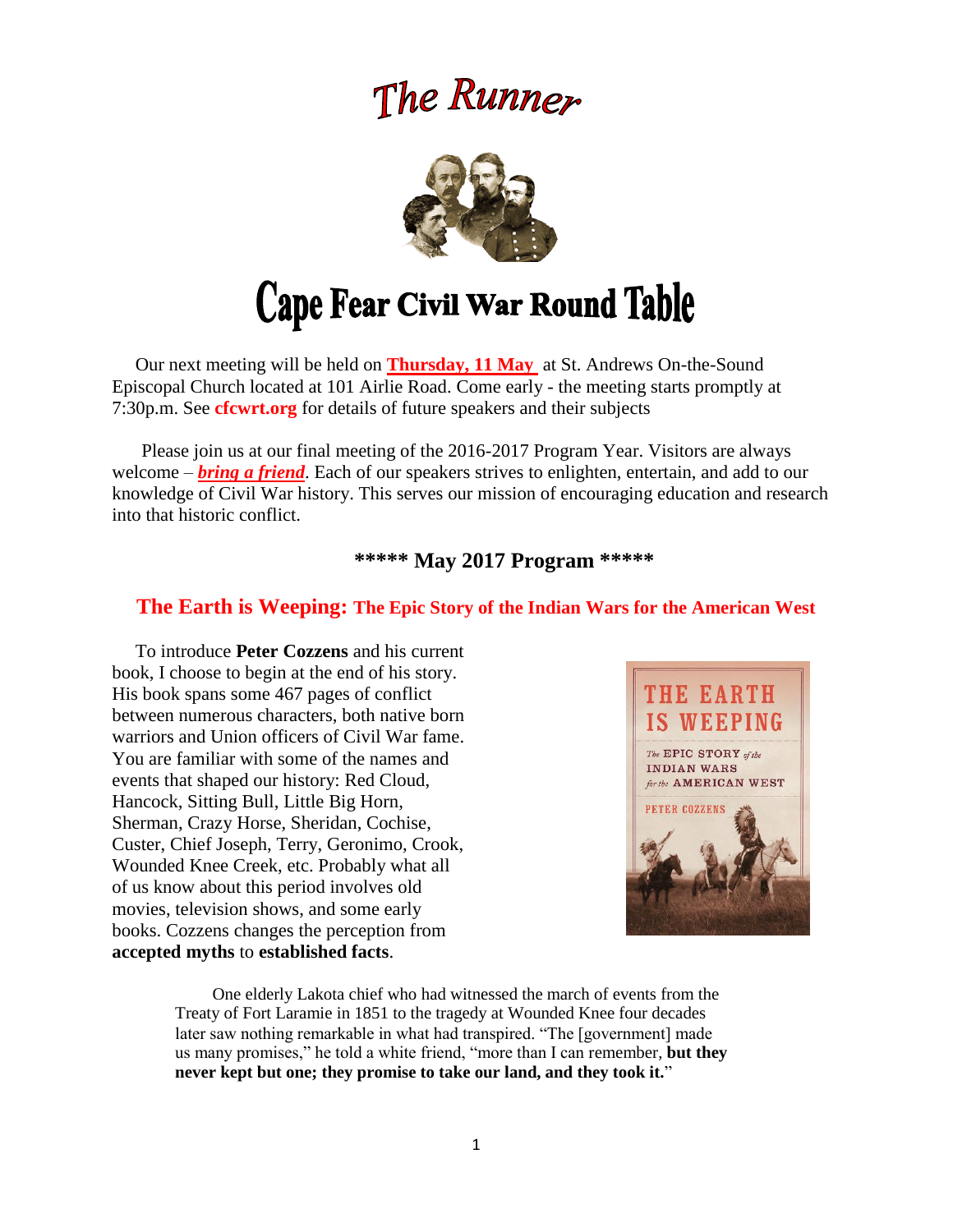# The Runner



# **Cape Fear Civil War Round Table**

 Our next meeting will be held on **Thursday, 11 May** at St. Andrews On-the-Sound Episcopal Church located at 101 Airlie Road. Come early - the meeting starts promptly at 7:30p.m. See **cfcwrt.org** for details of future speakers and their subjects

 Please join us at our final meeting of the 2016-2017 Program Year. Visitors are always welcome – *bring a friend*. Each of our speakers strives to enlighten, entertain, and add to our knowledge of Civil War history. This serves our mission of encouraging education and research into that historic conflict.

**\*\*\*\*\* May 2017 Program \*\*\*\*\***

### **The Earth is Weeping: The Epic Story of the Indian Wars for the American West**

 To introduce **Peter Cozzens** and his current book, I choose to begin at the end of his story. His book spans some 467 pages of conflict between numerous characters, both native born warriors and Union officers of Civil War fame. You are familiar with some of the names and events that shaped our history: Red Cloud, Hancock, Sitting Bull, Little Big Horn, Sherman, Crazy Horse, Sheridan, Cochise, Custer, Chief Joseph, Terry, Geronimo, Crook, Wounded Knee Creek, etc. Probably what all of us know about this period involves old movies, television shows, and some early books. Cozzens changes the perception from **accepted myths** to **established facts**.



 One elderly Lakota chief who had witnessed the march of events from the Treaty of Fort Laramie in 1851 to the tragedy at Wounded Knee four decades later saw nothing remarkable in what had transpired. "The [government] made us many promises," he told a white friend, "more than I can remember, **but they never kept but one; they promise to take our land, and they took it.**"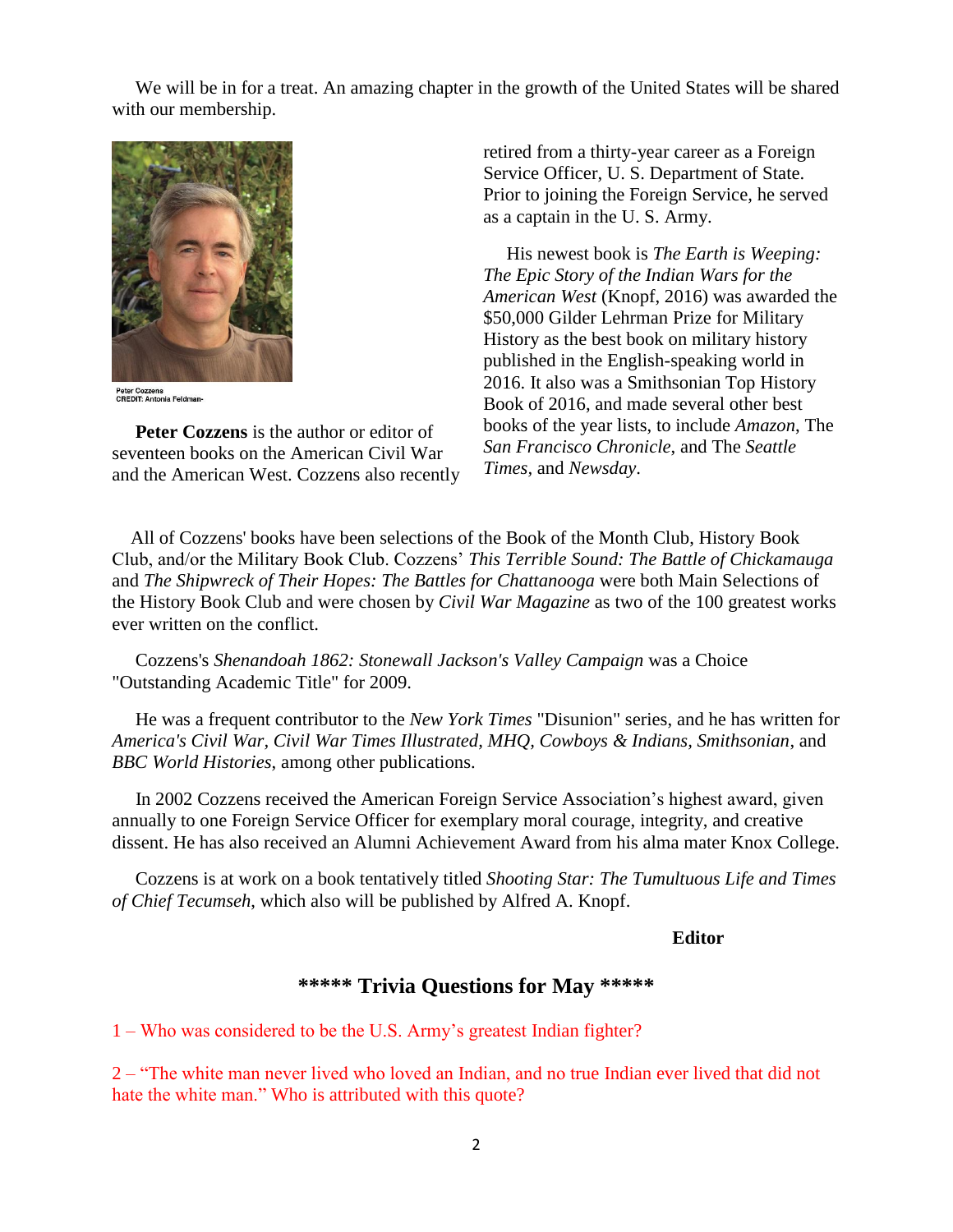We will be in for a treat. An amazing chapter in the growth of the United States will be shared with our membership.



Peter Cozzens<br>CREDIT: Antonia Feldman-

 **Peter Cozzens** is the author or editor of seventeen books on the American Civil War and the American West. Cozzens also recently retired from a thirty-year career as a Foreign Service Officer, U. S. Department of State. Prior to joining the Foreign Service, he served as a captain in the U. S. Army.

His newest book is *The Earth is Weeping: The Epic Story of the Indian Wars for the American West* (Knopf, 2016) was awarded the \$50,000 Gilder Lehrman Prize for Military History as the best book on military history published in the English-speaking world in 2016. It also was a Smithsonian Top History Book of 2016, and made several other best books of the year lists, to include *Amazon*, The *San Francisco Chronicle*, and The *Seattle Times,* and *Newsday*.

 All of Cozzens' books have been selections of the Book of the Month Club, History Book Club, and/or the Military Book Club. Cozzens' *This Terrible Sound: The Battle of Chickamauga* and *The Shipwreck of Their Hopes: The Battles for Chattanooga* were both Main Selections of the History Book Club and were chosen by *Civil War Magazine* as two of the 100 greatest works ever written on the conflict.

 Cozzens's *Shenandoah 1862: Stonewall Jackson's Valley Campaign* was a Choice "Outstanding Academic Title" for 2009.

 He was a frequent contributor to the *New York Times* "Disunion" series, and he has written for *America's Civil War, Civil War Times Illustrated, MHQ, Cowboys & Indians, Smithsonian*, and *BBC World Histories*, among other publications.

 In 2002 Cozzens received the American Foreign Service Association's highest award, given annually to one Foreign Service Officer for exemplary moral courage, integrity, and creative dissent. He has also received an Alumni Achievement Award from his alma mater Knox College.

 Cozzens is at work on a book tentatively titled *Shooting Star: The Tumultuous Life and Times of Chief Tecumseh*, which also will be published by Alfred A. Knopf.

#### **Editor**

### **\*\*\*\*\* Trivia Questions for May \*\*\*\*\***

1 – Who was considered to be the U.S. Army's greatest Indian fighter?

2 – "The white man never lived who loved an Indian, and no true Indian ever lived that did not hate the white man." Who is attributed with this quote?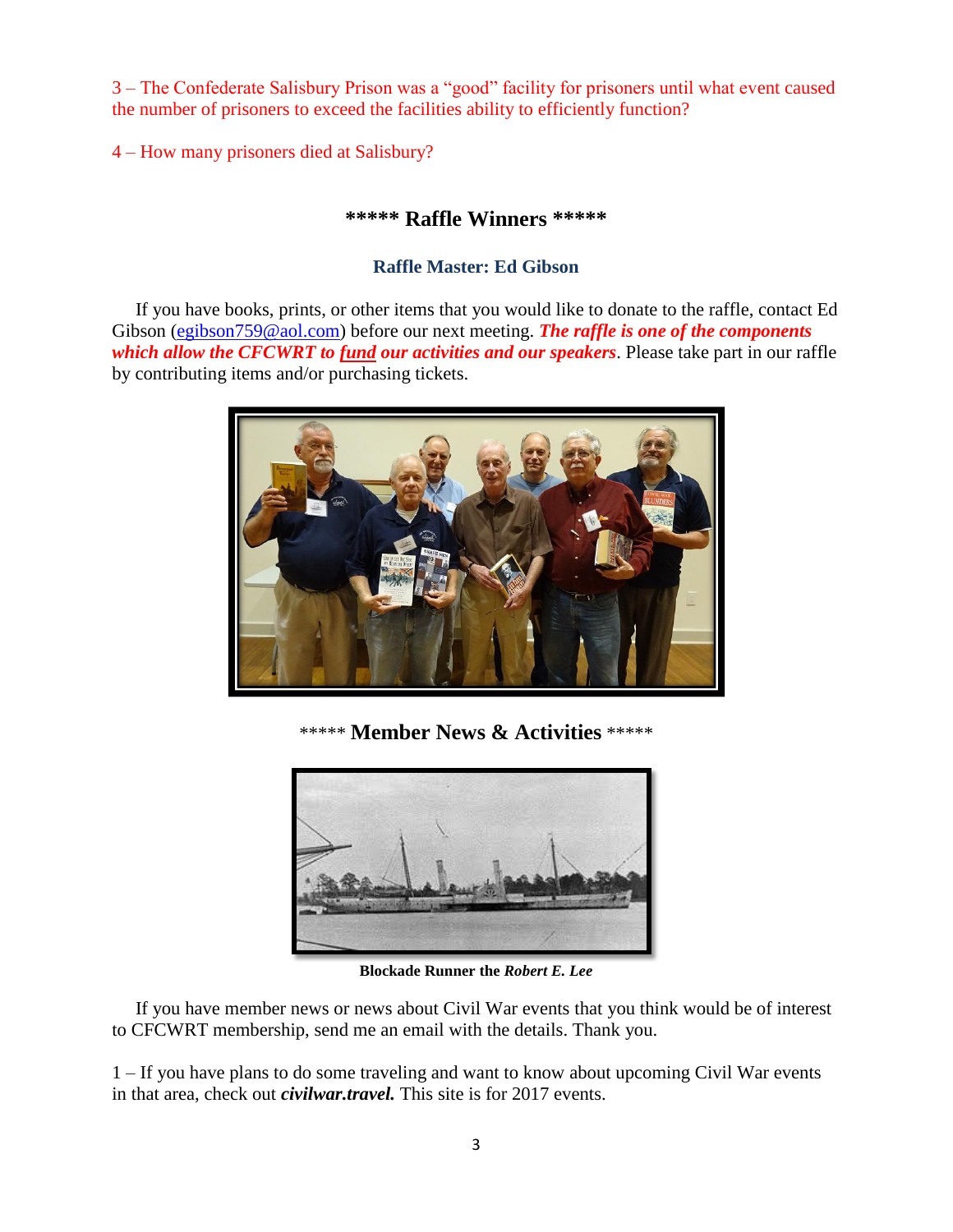3 – The Confederate Salisbury Prison was a "good" facility for prisoners until what event caused the number of prisoners to exceed the facilities ability to efficiently function?

4 – How many prisoners died at Salisbury?

### **\*\*\*\*\* Raffle Winners \*\*\*\*\***

#### **Raffle Master: Ed Gibson**

If you have books, prints, or other items that you would like to donate to the raffle, contact Ed Gibson [\(egibson759@aol.com\)](mailto:egibson759@aol.com) before our next meeting. **The raffle is one of the components** *which allow the CFCWRT to fund our activities and our speakers*. Please take part in our raffle by contributing items and/or purchasing tickets.



\*\*\*\*\* **Member News & Activities** \*\*\*\*\*



**Blockade Runner the** *Robert E. Lee*

 If you have member news or news about Civil War events that you think would be of interest to CFCWRT membership, send me an email with the details. Thank you.

1 – If you have plans to do some traveling and want to know about upcoming Civil War events in that area, check out *civilwar.travel.* This site is for 2017 events.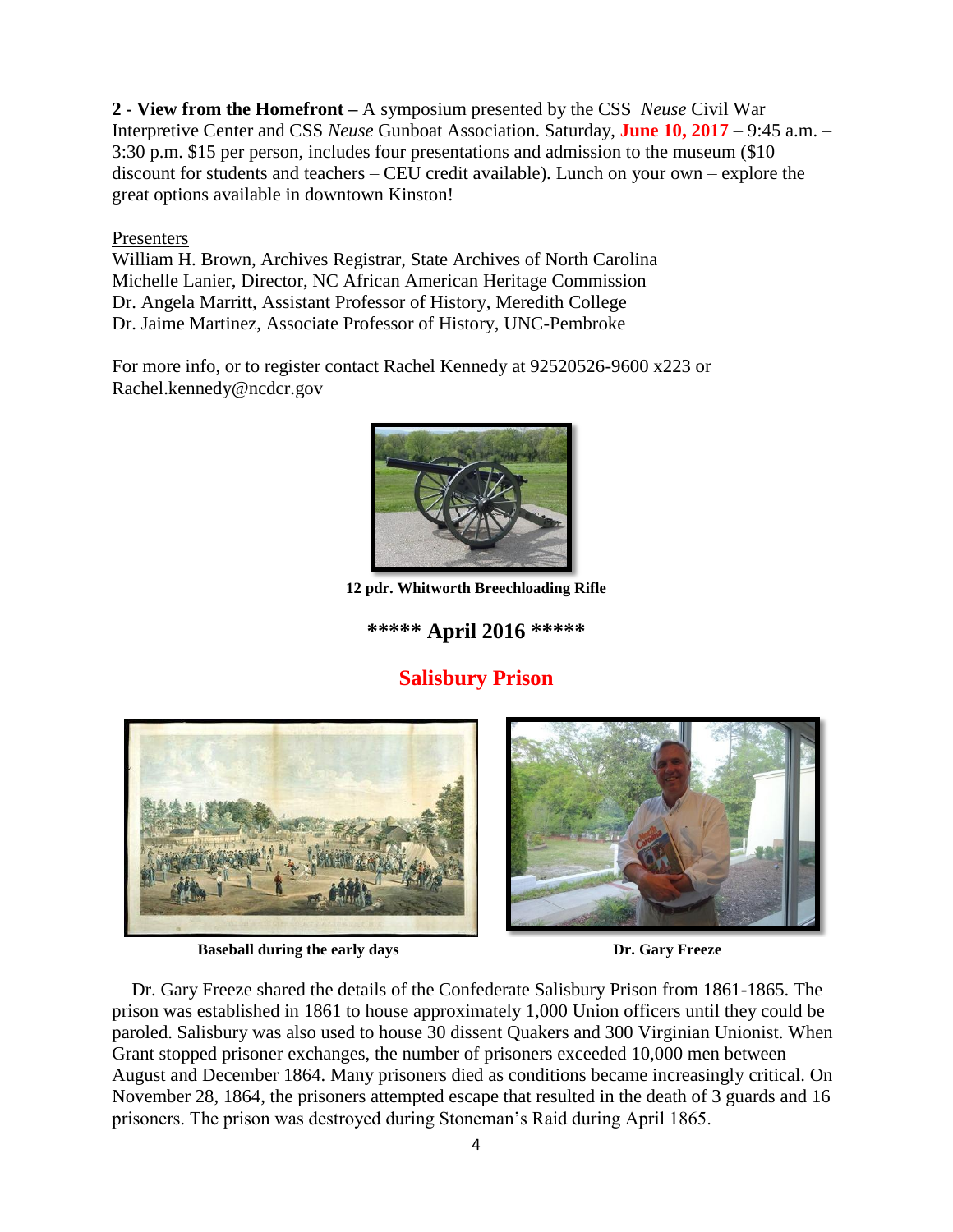**2 - View from the Homefront –** A symposium presented by the CSS *Neuse* Civil War Interpretive Center and CSS *Neuse* Gunboat Association. Saturday, **June 10, 2017** – 9:45 a.m. – 3:30 p.m. \$15 per person, includes four presentations and admission to the museum (\$10 discount for students and teachers – CEU credit available). Lunch on your own – explore the great options available in downtown Kinston!

#### Presenters

William H. Brown, Archives Registrar, State Archives of North Carolina Michelle Lanier, Director, NC African American Heritage Commission Dr. Angela Marritt, Assistant Professor of History, Meredith College Dr. Jaime Martinez, Associate Professor of History, UNC-Pembroke

For more info, or to register contact Rachel Kennedy at 92520526-9600 x223 or Rachel.kennedy@ncdcr.gov



**12 pdr. Whitworth Breechloading Rifle**

## **\*\*\*\*\* April 2016 \*\*\*\*\***

# **Salisbury Prison**



**Baseball during the early days Dr. Gary Freeze** 



Dr. Gary Freeze shared the details of the Confederate Salisbury Prison from 1861-1865. The prison was established in 1861 to house approximately 1,000 Union officers until they could be paroled. Salisbury was also used to house 30 dissent Quakers and 300 Virginian Unionist. When Grant stopped prisoner exchanges, the number of prisoners exceeded 10,000 men between August and December 1864. Many prisoners died as conditions became increasingly critical. On November 28, 1864, the prisoners attempted escape that resulted in the death of 3 guards and 16 prisoners. The prison was destroyed during Stoneman's Raid during April 1865.